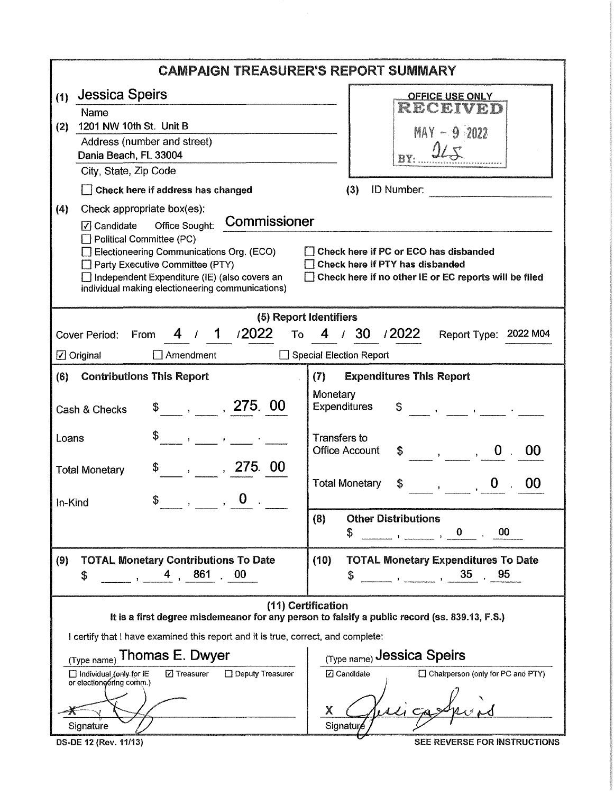| <b>CAMPAIGN TREASURER'S REPORT SUMMARY</b>                                                                                                                                                                                                                                                                                                                                                                                                                                                                           |                                                                                                                                                                                                                                                                                                                                                                                                                                                                                                                                                                                                 |  |  |  |
|----------------------------------------------------------------------------------------------------------------------------------------------------------------------------------------------------------------------------------------------------------------------------------------------------------------------------------------------------------------------------------------------------------------------------------------------------------------------------------------------------------------------|-------------------------------------------------------------------------------------------------------------------------------------------------------------------------------------------------------------------------------------------------------------------------------------------------------------------------------------------------------------------------------------------------------------------------------------------------------------------------------------------------------------------------------------------------------------------------------------------------|--|--|--|
| <b>Jessica Speirs</b><br>(1)<br>Name<br>1201 NW 10th St. Unit B<br>(2)<br>Address (number and street)<br>Dania Beach, FL 33004<br>City, State, Zip Code<br>Check here if address has changed<br>(4)<br>Check appropriate box(es):<br>Commissioner<br>Office Sought:<br>$\sqrt{\phantom{a}}$ Candidate<br>Political Committee (PC)<br>Electioneering Communications Org. (ECO)<br>Party Executive Committee (PTY)<br>Independent Expenditure (IE) (also covers an<br>individual making electioneering communications) | <b>OFFICE USE ONLY</b><br>RECEIVED<br>$MAY - 92022$<br>(3)<br>ID Number:<br>Check here if PC or ECO has disbanded<br>Check here if PTY has disbanded<br>Check here if no other IE or EC reports will be filed                                                                                                                                                                                                                                                                                                                                                                                   |  |  |  |
| (5) Report Identifiers<br>4 / 1 /2022<br>30 / 2022<br>4<br>To<br>Report Type: 2022 M04<br>Cover Period:<br>$\frac{1}{2}$<br>From<br>Special Election Report<br>$\boxed{\angle}$ Original<br>$\Box$ Amendment<br><b>Contributions This Report</b><br>(7)<br><b>Expenditures This Report</b><br>(6)                                                                                                                                                                                                                    |                                                                                                                                                                                                                                                                                                                                                                                                                                                                                                                                                                                                 |  |  |  |
| $\frac{1}{2}$ , 275.00<br>Cash & Checks<br>Loans<br>$\mathbf{y} = \mathbf{y}$ , and $\mathbf{y} = \mathbf{y}$ , and $\mathbf{y} = \mathbf{y}$<br>, 275.00<br>\$<br><b>Total Monetary</b><br>$\bf{0}$<br>S<br>In-Kind<br>$\rightarrow$                                                                                                                                                                                                                                                                                | Monetary<br><b>Expenditures</b><br>\$.<br>$\mathcal{L}^{\mathcal{L}}(\mathcal{L}^{\mathcal{L}}(\mathcal{L}^{\mathcal{L}}(\mathcal{L}^{\mathcal{L}}(\mathcal{L}^{\mathcal{L}}(\mathcal{L}^{\mathcal{L}}(\mathcal{L}^{\mathcal{L}}(\mathcal{L}^{\mathcal{L}}(\mathcal{L}^{\mathcal{L}}(\mathcal{L}^{\mathcal{L}}(\mathcal{L}^{\mathcal{L}}(\mathcal{L}^{\mathcal{L}}(\mathcal{L}^{\mathcal{L}}(\mathcal{L}^{\mathcal{L}}(\mathcal{L}^{\mathcal{L}}(\mathcal{L}^{\mathcal{L}}(\mathcal{L}^{\mathcal{L$<br>Transfers to<br><b>Office Account</b><br>- 00<br><b>Total Monetary</b><br>$\bf{0}$<br>00 |  |  |  |
| <b>TOTAL Monetary Contributions To Date</b><br>(9)<br>861<br>00<br>\$                                                                                                                                                                                                                                                                                                                                                                                                                                                | <b>Other Distributions</b><br>(8)<br>\$<br>00<br>0<br>(10)<br><b>TOTAL Monetary Expenditures To Date</b><br>35<br>95<br>\$<br>$\mathbf{r}$                                                                                                                                                                                                                                                                                                                                                                                                                                                      |  |  |  |
| It is a first degree misdemeanor for any person to falsify a public record (ss. 839.13, F.S.)<br>I certify that I have examined this report and it is true, correct, and complete:<br>Thomas E. Dwyer<br>(Type name)<br>□ Deputy Treasurer<br>□ Individual (only for IE<br><b>□</b> Treasurer<br>or electioneering comm.)<br>Signature<br>DS-DE 12 (Rev. 11/13)                                                                                                                                                      | (11) Certification<br>(Type name) Jessica Speirs<br>□ Chairperson (only for PC and PTY)<br><b>⊡</b> Candidate<br>X.<br>Signature<br><b>SEE REVERSE FOR INSTRUCTIONS</b>                                                                                                                                                                                                                                                                                                                                                                                                                         |  |  |  |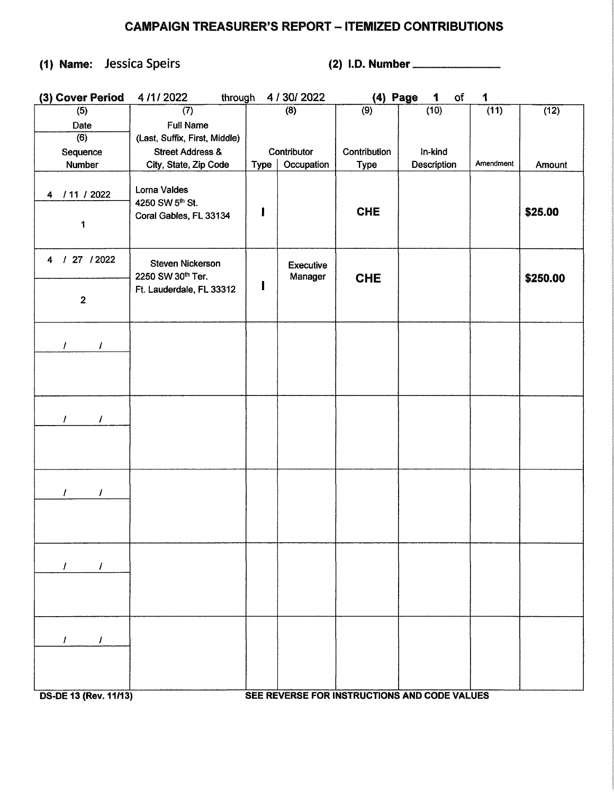## CAMPAIGN TREASURER'S REPORT - ITEMIZED CONTRIBUTIONS

## (1) Name: Jessica Speirs (2) I.D. Number

| (3) Cover Period                            | 4/1/2022<br>through                                       |      | 4 / 30/ 2022         | (4) Page     | of<br>1                                      | 1         |          |
|---------------------------------------------|-----------------------------------------------------------|------|----------------------|--------------|----------------------------------------------|-----------|----------|
| (5)                                         | (7)                                                       |      | $\overline{(8)}$     | (9)          | (10)                                         | (11)      | (12)     |
| Date                                        | <b>Full Name</b>                                          |      |                      |              |                                              |           |          |
| (6)                                         | (Last, Suffix, First, Middle)                             |      |                      |              |                                              |           |          |
| Sequence                                    | <b>Street Address &amp;</b>                               |      | Contributor          | Contribution | In-kind                                      |           |          |
| Number                                      | City, State, Zip Code                                     | Type | Occupation           | <b>Type</b>  | Description                                  | Amendment | Amount   |
| / 11 / 2022<br>$\overline{\mathbf{4}}$<br>1 | Lorna Valdes<br>4250 SW 5th St.<br>Coral Gables, FL 33134 | ı    |                      | <b>CHE</b>   |                                              |           | \$25.00  |
| 27 / 2022<br>$\mathcal{A}$<br>4             | <b>Steven Nickerson</b><br>2250 SW 30th Ter.              |      | Executive<br>Manager |              |                                              |           |          |
| $\mathbf{2}$                                | Ft. Lauderdale, FL 33312                                  | П    |                      | <b>CHE</b>   |                                              |           | \$250.00 |
| T<br>I                                      |                                                           |      |                      |              |                                              |           |          |
|                                             |                                                           |      |                      |              |                                              |           |          |
| $\prime$<br>$\prime$                        |                                                           |      |                      |              |                                              |           |          |
| $\prime$<br>I                               |                                                           |      |                      |              |                                              |           |          |
| $\prime$<br>$\prime$                        |                                                           |      |                      |              |                                              |           |          |
| 1<br>I<br><b>DS-DE 13 (Rev. 11/13)</b>      |                                                           |      |                      |              | SEE REVERSE FOR INSTRUCTIONS AND CODE VALUES |           |          |